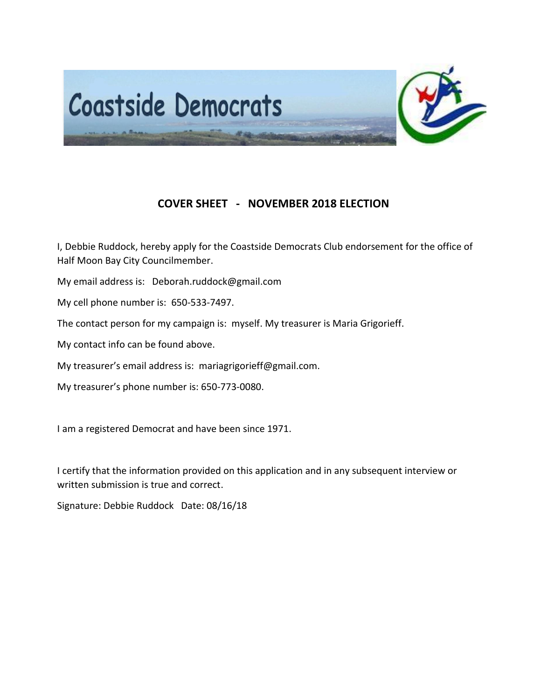

## **COVER SHEET - NOVEMBER 2018 ELECTION**

I, Debbie Ruddock, hereby apply for the Coastside Democrats Club endorsement for the office of Half Moon Bay City Councilmember.

My email address is: Deborah.ruddock@gmail.com

My cell phone number is: 650-533-7497.

The contact person for my campaign is: myself. My treasurer is Maria Grigorieff.

My contact info can be found above.

My treasurer's email address is: mariagrigorieff@gmail.com.

My treasurer's phone number is: 650-773-0080.

I am a registered Democrat and have been since 1971.

I certify that the information provided on this application and in any subsequent interview or written submission is true and correct.

Signature: Debbie Ruddock Date: 08/16/18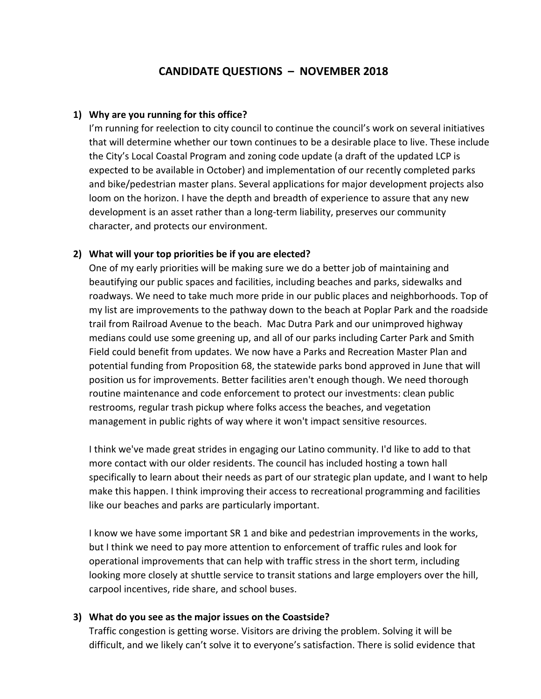## **CANDIDATE QUESTIONS – NOVEMBER 2018**

#### **1) Why are you running for this office?**

I'm running for reelection to city council to continue the council's work on several initiatives that will determine whether our town continues to be a desirable place to live. These include the City's Local Coastal Program and zoning code update (a draft of the updated LCP is expected to be available in October) and implementation of our recently completed parks and bike/pedestrian master plans. Several applications for major development projects also loom on the horizon. I have the depth and breadth of experience to assure that any new development is an asset rather than a long-term liability, preserves our community character, and protects our environment.

#### **2) What will your top priorities be if you are elected?**

One of my early priorities will be making sure we do a better job of maintaining and beautifying our public spaces and facilities, including beaches and parks, sidewalks and roadways. We need to take much more pride in our public places and neighborhoods. Top of my list are improvements to the pathway down to the beach at Poplar Park and the roadside trail from Railroad Avenue to the beach. Mac Dutra Park and our unimproved highway medians could use some greening up, and all of our parks including Carter Park and Smith Field could benefit from updates. We now have a Parks and Recreation Master Plan and potential funding from Proposition 68, the statewide parks bond approved in June that will position us for improvements. Better facilities aren't enough though. We need thorough routine maintenance and code enforcement to protect our investments: clean public restrooms, regular trash pickup where folks access the beaches, and vegetation management in public rights of way where it won't impact sensitive resources.

I think we've made great strides in engaging our Latino community. I'd like to add to that more contact with our older residents. The council has included hosting a town hall specifically to learn about their needs as part of our strategic plan update, and I want to help make this happen. I think improving their access to recreational programming and facilities like our beaches and parks are particularly important.

I know we have some important SR 1 and bike and pedestrian improvements in the works, but I think we need to pay more attention to enforcement of traffic rules and look for operational improvements that can help with traffic stress in the short term, including looking more closely at shuttle service to transit stations and large employers over the hill, carpool incentives, ride share, and school buses.

#### **3) What do you see as the major issues on the Coastside?**

Traffic congestion is getting worse. Visitors are driving the problem. Solving it will be difficult, and we likely can't solve it to everyone's satisfaction. There is solid evidence that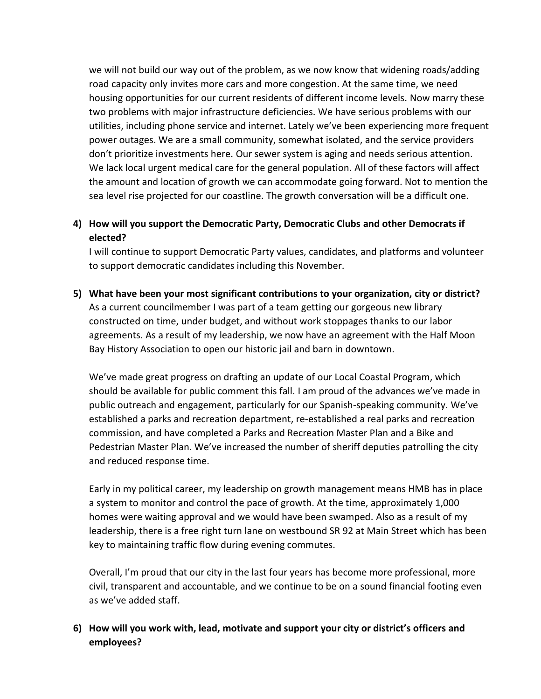we will not build our way out of the problem, as we now know that widening roads/adding road capacity only invites more cars and more congestion. At the same time, we need housing opportunities for our current residents of different income levels. Now marry these two problems with major infrastructure deficiencies. We have serious problems with our utilities, including phone service and internet. Lately we've been experiencing more frequent power outages. We are a small community, somewhat isolated, and the service providers don't prioritize investments here. Our sewer system is aging and needs serious attention. We lack local urgent medical care for the general population. All of these factors will affect the amount and location of growth we can accommodate going forward. Not to mention the sea level rise projected for our coastline. The growth conversation will be a difficult one.

# **4) How will you support the Democratic Party, Democratic Clubs and other Democrats if elected?**

I will continue to support Democratic Party values, candidates, and platforms and volunteer to support democratic candidates including this November.

**5) What have been your most significant contributions to your organization, city or district?** As a current councilmember I was part of a team getting our gorgeous new library constructed on time, under budget, and without work stoppages thanks to our labor agreements. As a result of my leadership, we now have an agreement with the Half Moon Bay History Association to open our historic jail and barn in downtown.

We've made great progress on drafting an update of our Local Coastal Program, which should be available for public comment this fall. I am proud of the advances we've made in public outreach and engagement, particularly for our Spanish-speaking community. We've established a parks and recreation department, re-established a real parks and recreation commission, and have completed a Parks and Recreation Master Plan and a Bike and Pedestrian Master Plan. We've increased the number of sheriff deputies patrolling the city and reduced response time.

Early in my political career, my leadership on growth management means HMB has in place a system to monitor and control the pace of growth. At the time, approximately 1,000 homes were waiting approval and we would have been swamped. Also as a result of my leadership, there is a free right turn lane on westbound SR 92 at Main Street which has been key to maintaining traffic flow during evening commutes.

Overall, I'm proud that our city in the last four years has become more professional, more civil, transparent and accountable, and we continue to be on a sound financial footing even as we've added staff.

### **6) How will you work with, lead, motivate and support your city or district's officers and employees?**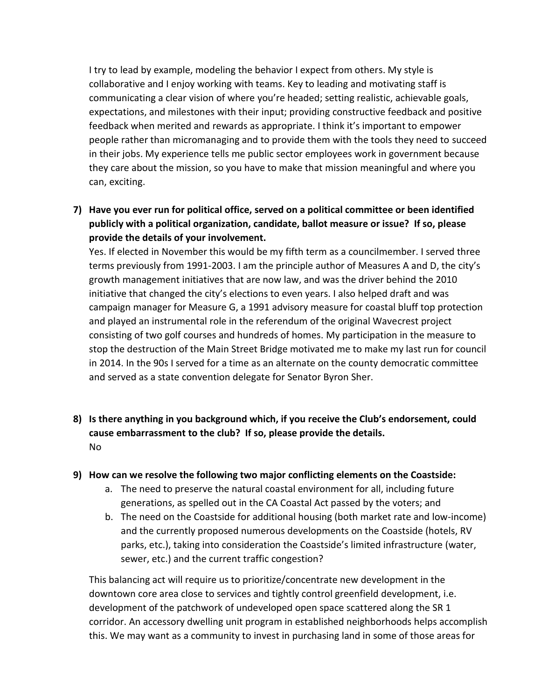I try to lead by example, modeling the behavior I expect from others. My style is collaborative and I enjoy working with teams. Key to leading and motivating staff is communicating a clear vision of where you're headed; setting realistic, achievable goals, expectations, and milestones with their input; providing constructive feedback and positive feedback when merited and rewards as appropriate. I think it's important to empower people rather than micromanaging and to provide them with the tools they need to succeed in their jobs. My experience tells me public sector employees work in government because they care about the mission, so you have to make that mission meaningful and where you can, exciting.

**7) Have you ever run for political office, served on a political committee or been identified publicly with a political organization, candidate, ballot measure or issue? If so, please provide the details of your involvement.**

Yes. If elected in November this would be my fifth term as a councilmember. I served three terms previously from 1991-2003. I am the principle author of Measures A and D, the city's growth management initiatives that are now law, and was the driver behind the 2010 initiative that changed the city's elections to even years. I also helped draft and was campaign manager for Measure G, a 1991 advisory measure for coastal bluff top protection and played an instrumental role in the referendum of the original Wavecrest project consisting of two golf courses and hundreds of homes. My participation in the measure to stop the destruction of the Main Street Bridge motivated me to make my last run for council in 2014. In the 90s I served for a time as an alternate on the county democratic committee and served as a state convention delegate for Senator Byron Sher.

**8) Is there anything in you background which, if you receive the Club's endorsement, could cause embarrassment to the club? If so, please provide the details.** No

#### **9) How can we resolve the following two major conflicting elements on the Coastside:**

- a. The need to preserve the natural coastal environment for all, including future generations, as spelled out in the CA Coastal Act passed by the voters; and
- b. The need on the Coastside for additional housing (both market rate and low-income) and the currently proposed numerous developments on the Coastside (hotels, RV parks, etc.), taking into consideration the Coastside's limited infrastructure (water, sewer, etc.) and the current traffic congestion?

This balancing act will require us to prioritize/concentrate new development in the downtown core area close to services and tightly control greenfield development, i.e. development of the patchwork of undeveloped open space scattered along the SR 1 corridor. An accessory dwelling unit program in established neighborhoods helps accomplish this. We may want as a community to invest in purchasing land in some of those areas for